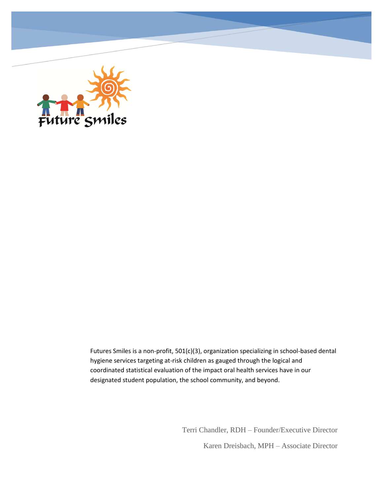

Futures Smiles is a non-profit, 501(c)(3), organization specializing in school-based dental hygiene services targeting at-risk children as gauged through the logical and coordinated statistical evaluation of the impact oral health services have in our designated student population, the school community, and beyond.

> Terri Chandler, RDH – Founder/Executive Director Karen Dreisbach, MPH – Associate Director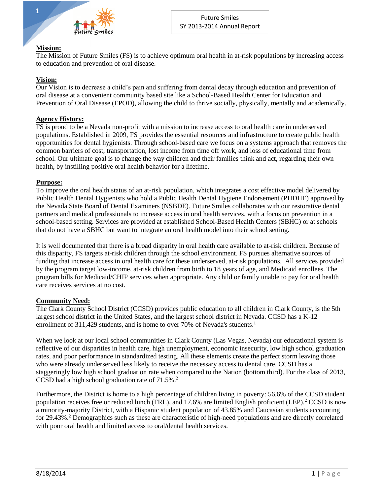

#### **Mission:**

The Mission of Future Smiles (FS) is to achieve optimum oral health in at-risk populations by increasing access to education and prevention of oral disease.

#### **Vision:**

Our Vision is to decrease a child's pain and suffering from dental decay through education and prevention of oral disease at a convenient community based site like a School-Based Health Center for Education and Prevention of Oral Disease (EPOD), allowing the child to thrive socially, physically, mentally and academically.

#### **Agency History:**

FS is proud to be a Nevada non-profit with a mission to increase access to oral health care in underserved populations. Established in 2009, FS provides the essential resources and infrastructure to create public health opportunities for dental hygienists. Through school-based care we focus on a systems approach that removes the common barriers of cost, transportation, lost income from time off work, and loss of educational time from school. Our ultimate goal is to change the way children and their families think and act, regarding their own health, by instilling positive oral health behavior for a lifetime.

#### **Purpose:**

To improve the oral health status of an at-risk population, which integrates a cost effective model delivered by Public Health Dental Hygienists who hold a Public Health Dental Hygiene Endorsement (PHDHE) approved by the Nevada State Board of Dental Examiners (NSBDE). Future Smiles collaborates with our restorative dental partners and medical professionals to increase access in oral health services, with a focus on prevention in a school-based setting. Services are provided at established School-Based Health Centers (SBHC) or at schools that do not have a SBHC but want to integrate an oral health model into their school setting.

It is well documented that there is a broad disparity in oral health care available to at-risk children. Because of this disparity, FS targets at-risk children through the school environment. FS pursues alternative sources of funding that increase access in oral health care for these underserved, at-risk populations. All services provided by the program target low-income, at-risk children from birth to 18 years of age, and Medicaid enrollees. The program bills for Medicaid/CHIP services when appropriate. Any child or family unable to pay for oral health care receives services at no cost.

#### **Community Need:**

The Clark County School District (CCSD) provides public education to all children in Clark County, is the 5th largest school district in the United States, and the largest school district in Nevada. CCSD has a K-12 enrollment of  $311.429$  students, and is home to over 70% of Nevada's students.<sup>1</sup>

When we look at our local school communities in Clark County (Las Vegas, Nevada) our educational system is reflective of our disparities in health care, high unemployment, economic insecurity, low high school graduation rates, and poor performance in standardized testing. All these elements create the perfect storm leaving those who were already underserved less likely to receive the necessary access to dental care. CCSD has a staggeringly low high school graduation rate when compared to the Nation (bottom third). For the class of 2013, CCSD had a high school graduation rate of 71.5%.<sup>2</sup>

Furthermore, the District is home to a high percentage of children living in poverty: 56.6% of the CCSD student population receives free or reduced lunch (FRL), and 17.6% are limited English proficient (LEP).<sup>2</sup> CCSD is now a minority-majority District, with a Hispanic student population of 43.85% and Caucasian students accounting for 29.43%. <sup>2</sup> Demographics such as these are characteristic of high-need populations and are directly correlated with poor oral health and limited access to oral/dental health services.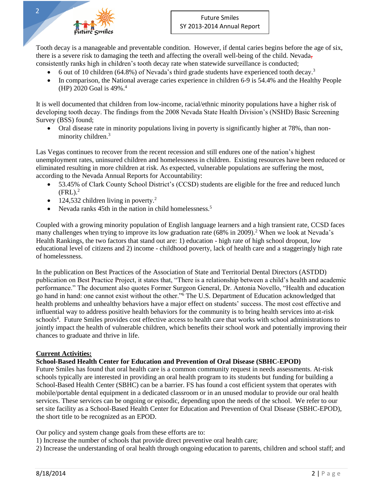

Tooth decay is a manageable and preventable condition. However, if dental caries begins before the age of six, there is a severe risk to damaging the teeth and affecting the overall well-being of the child. Nevada, consistently ranks high in children's tooth decay rate when statewide surveillance is conducted;

- 6 out of 10 children (64.8%) of Nevada's third grade students have experienced tooth decay.<sup>3</sup>
- In comparison, the National average caries experience in children 6-9 is 54.4% and the Healthy People (HP) 2020 Goal is 49%. 4

It is well documented that children from low-income, racial/ethnic minority populations have a higher risk of developing tooth decay. The findings from the 2008 Nevada State Health Division's (NSHD) Basic Screening Survey (BSS) found;

 Oral disease rate in minority populations living in poverty is significantly higher at 78%, than nonminority children.<sup>3</sup>

Las Vegas continues to recover from the recent recession and still endures one of the nation's highest unemployment rates, uninsured children and homelessness in children. Existing resources have been reduced or eliminated resulting in more children at risk. As expected, vulnerable populations are suffering the most, according to the Nevada Annual Reports for Accountability:

- 53.45% of Clark County School District's (CCSD) students are eligible for the free and reduced lunch  $(FRL)<sup>2</sup>$
- $\bullet$  124,532 children living in poverty.<sup>2</sup>
- Nevada ranks  $45$ th in the nation in child homelessness.<sup>5</sup>

Coupled with a growing minority population of English language learners and a high transient rate, CCSD faces many challenges when trying to improve its low graduation rate (68% in 2009).<sup>2</sup> When we look at Nevada's Health Rankings, the two factors that stand out are: 1) education - high rate of high school dropout, low educational level of citizens and 2) income - childhood poverty, lack of health care and a staggeringly high rate of homelessness.

In the publication on Best Practices of the Association of State and Territorial Dental Directors (ASTDD) publication on Best Practice Project, it states that, "There is a relationship between a child's health and academic performance." The document also quotes Former Surgeon General, Dr. Antonia Novello, "Health and education go hand in hand: one cannot exist without the other."<sup>6</sup> The U.S. Department of Education acknowledged that health problems and unhealthy behaviors have a major effect on students' success. The most cost effective and influential way to address positive health behaviors for the community is to bring health services into at-risk schools<sup>4</sup>. Future Smiles provides cost effective access to health care that works with school administrations to jointly impact the health of vulnerable children, which benefits their school work and potentially improving their chances to graduate and thrive in life.

## **Current Activities:**

## **School-Based Health Center for Education and Prevention of Oral Disease (SBHC-EPOD)**

Future Smiles has found that oral health care is a common community request in needs assessments. At-risk schools typically are interested in providing an oral health program to its students but funding for building a School-Based Health Center (SBHC) can be a barrier. FS has found a cost efficient system that operates with mobile/portable dental equipment in a dedicated classroom or in an unused modular to provide our oral health services. These services can be ongoing or episodic, depending upon the needs of the school. We refer to our set site facility as a School-Based Health Center for Education and Prevention of Oral Disease (SBHC-EPOD), the short title to be recognized as an EPOD.

Our policy and system change goals from these efforts are to:

- 1) Increase the number of schools that provide direct preventive oral health care;
- 2) Increase the understanding of oral health through ongoing education to parents, children and school staff; and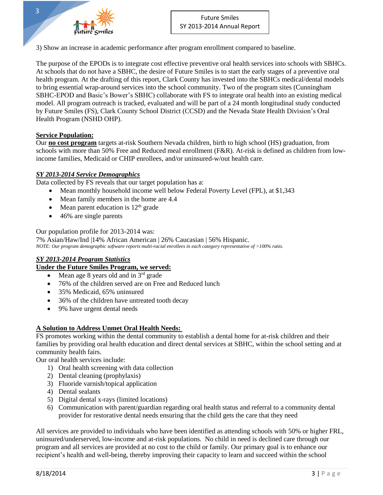

3) Show an increase in academic performance after program enrollment compared to baseline.

The purpose of the EPODs is to integrate cost effective preventive oral health services into schools with SBHCs. At schools that do not have a SBHC, the desire of Future Smiles is to start the early stages of a preventive oral health program. At the drafting of this report, Clark County has invested into the SBHCs medical/dental models to bring essential wrap-around services into the school community. Two of the program sites (Cunningham SBHC-EPOD and Basic's Bower's SBHC) collaborate with FS to integrate oral health into an existing medical model. All program outreach is tracked, evaluated and will be part of a 24 month longitudinal study conducted by Future Smiles (FS), Clark County School District (CCSD) and the Nevada State Health Division's Oral Health Program (NSHD OHP).

#### **Service Population:**

Our **no cost program** targets at-risk Southern Nevada children, birth to high school (HS) graduation, from schools with more than 50% Free and Reduced meal enrollment (F&R). At-risk is defined as children from lowincome families, Medicaid or CHIP enrollees, and/or uninsured-w/out health care.

#### *SY 2013-2014 Service Demographics*

Data collected by FS reveals that our target population has a:

- Mean monthly household income well below Federal Poverty Level (FPL), at \$1,343
- Mean family members in the home are 4.4
- $\bullet$  Mean parent education is 12<sup>th</sup> grade
- 46% are single parents

#### Our population profile for 2013-2014 was:

7% Asian/Haw/Ind |14% African American | 26% Caucasian | 56% Hispanic. *NOTE: Our program demographic software reports multi-racial enrollees in each category representative of >100% ratio.*

## *SY 2013-2014 Program Statistics*

#### **Under the Future Smiles Program, we served:**

- $\bullet$  Mean age 8 years old and in  $3<sup>rd</sup>$  grade
- 76% of the children served are on Free and Reduced lunch
- 35% Medicaid, 65% uninsured
- 36% of the children have untreated tooth decay
- 9% have urgent dental needs

## **A Solution to Address Unmet Oral Health Needs:**

FS promotes working within the dental community to establish a dental home for at-risk children and their families by providing oral health education and direct dental services at SBHC, within the school setting and at community health fairs.

Our oral health services include:

- 1) Oral health screening with data collection
- 2) Dental cleaning (prophylaxis)
- 3) Fluoride varnish/topical application
- 4) Dental sealants
- 5) Digital dental x-rays (limited locations)
- 6) Communication with parent/guardian regarding oral health status and referral to a community dental provider for restorative dental needs ensuring that the child gets the care that they need

All services are provided to individuals who have been identified as attending schools with 50% or higher FRL, uninsured/underserved, low-income and at-risk populations. No child in need is declined care through our program and all services are provided at no cost to the child or family. Our primary goal is to enhance our recipient's health and well-being, thereby improving their capacity to learn and succeed within the school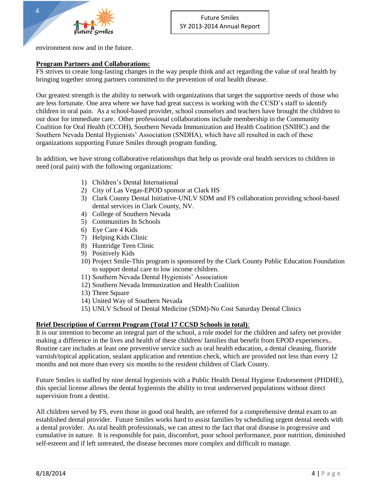environment now and in the future.

4

## **Program Partners and Collaborations:**

FS strives to create long-lasting changes in the way people think and act regarding the value of oral health by bringing together strong partners committed to the prevention of oral health disease.

Our greatest strength is the ability to network with organizations that target the supportive needs of those who are less fortunate. One area where we have had great success is working with the CCSD's staff to identify children in oral pain. As a school-based provider, school counselors and teachers have brought the children to our door for immediate care. Other professional collaborations include membership in the Community Coalition for Oral Health (CCOH), Southern Nevada Immunization and Health Coalition (SNIHC) and the Southern Nevada Dental Hygienists' Association (SNDHA), which have all resulted in each of these organizations supporting Future Smiles through program funding.

In addition, we have strong collaborative relationships that help us provide oral health services to children in need (oral pain) with the following organizations:

- 1) Children's Dental International
- 2) City of Las Vegas-EPOD sponsor at Clark HS
- 3) Clark County Dental Initiative-UNLV SDM and FS collaboration providing school-based dental services in Clark County, NV.
- 4) College of Southern Nevada
- 5) Communities In Schools
- 6) Eye Care 4 Kids
- 7) Helping Kids Clinic
- 8) Huntridge Teen Clinic
- 9) Positively Kids
- 10) Project Smile-This program is sponsored by the Clark County Public Education Foundation to support dental care to low income children.
- 11) Southern Nevada Dental Hygienists' Association
- 12) Southern Nevada Immunization and Health Coalition
- 13) Three Square
- 14) United Way of Southern Nevada
- 15) UNLV School of Dental Medicine (SDM)-No Cost Saturday Dental Clinics

## **Brief Description of Current Program (Total 17 CCSD Schools in total)**:

It is our intention to become an integral part of the school, a role model for the children and safety net provider making a difference in the lives and health of these children/ families that benefit from EPOD experiences,. Routine care includes at least one preventive service such as oral health education, a dental cleaning, fluoride varnish/topical application, sealant application and retention check, which are provided not less than every 12 months and not more than every six months to the resident children of Clark County.

Future Smiles is staffed by nine dental hygienists with a Public Health Dental Hygiene Endorsement (PHDHE), this special license allows the dental hygienists the ability to treat underserved populations without direct supervision from a dentist.

All children served by FS, even those in good oral health, are referred for a comprehensive dental exam to an established dental provider. Future Smiles works hard to assist families by scheduling urgent dental needs with a dental provider. As oral health professionals, we can attest to the fact that oral disease is progressive and cumulative in nature. It is responsible for pain, discomfort, poor school performance, poor nutrition, diminished self-esteem and if left untreated, the disease becomes more complex and difficult to manage.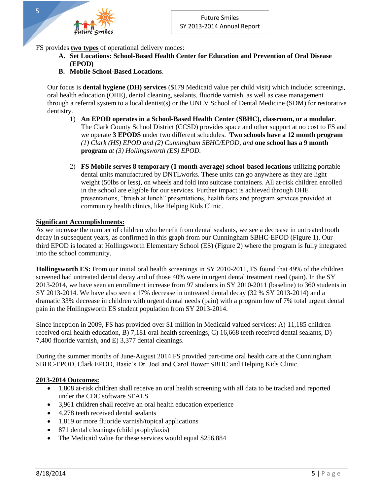FS provides **two types** of operational delivery modes:

- **A. Set Locations: School-Based Health Center for Education and Prevention of Oral Disease (EPOD)**
- **B. Mobile School-Based Locations**.

Our focus is **dental hygiene (DH) services** (\$179 Medicaid value per child visit) which include: screenings, oral health education (OHE), dental cleaning, sealants, fluoride varnish, as well as case management through a referral system to a local dentist(s) or the UNLV School of Dental Medicine (SDM) for restorative dentistry.

- 1) **An EPOD operates in a School-Based Health Center (SBHC), classroom, or a modular**. The Clark County School District (CCSD) provides space and other support at no cost to FS and we operate **3 EPODS** under two different schedules. **Two schools have a 12 month program** *(1) Clark (HS) EPOD and (2) Cunningham SBHC/EPOD, and* **one school has a 9 month program** *at (3) Hollingsworth (ES) EPOD.*
- 2) **FS Mobile serves 8 temporary (1 month average) school-based locations** utilizing portable dental units manufactured by DNTLworks. These units can go anywhere as they are light weight (50lbs or less), on wheels and fold into suitcase containers. All at-risk children enrolled in the school are eligible for our services. Further impact is achieved through OHE presentations, "brush at lunch" presentations, health fairs and program services provided at community health clinics, like Helping Kids Clinic.

## **Significant Accomplishments:**

As we increase the number of children who benefit from dental sealants, we see a decrease in untreated tooth decay in subsequent years, as confirmed in this graph from our Cunningham SBHC-EPOD (Figure 1). Our third EPOD is located at Hollingsworth Elementary School (ES) (Figure 2) where the program is fully integrated into the school community.

**Hollingsworth ES:** From our initial oral health screenings in SY 2010-2011, FS found that 49% of the children screened had untreated dental decay and of those 40% were in urgent dental treatment need (pain). In the SY 2013-2014, we have seen an enrollment increase from 97 students in SY 2010-2011 (baseline) to 360 students in SY 2013-2014. We have also seen a 17% decrease in untreated dental decay (32 % SY 2013-2014) and a dramatic 33% decrease in children with urgent dental needs (pain) with a program low of 7% total urgent dental pain in the Hollingsworth ES student population from SY 2013-2014.

Since inception in 2009, FS has provided over \$1 million in Medicaid valued services: A) 11,185 children received oral health education, B) 7,181 oral health screenings, C) 16,668 teeth received dental sealants, D) 7,400 fluoride varnish, and E) 3,377 dental cleanings.

During the summer months of June-August 2014 FS provided part-time oral health care at the Cunningham SBHC-EPOD, Clark EPOD, Basic's Dr. Joel and Carol Bower SBHC and Helping Kids Clinic.

#### **2013-2014 Outcomes:**

- 1,808 at-risk children shall receive an oral health screening with all data to be tracked and reported under the CDC software SEALS
- 3,961 children shall receive an oral health education experience
- 4,278 teeth received dental sealants
- 1,819 or more fluoride varnish/topical applications
- 871 dental cleanings (child prophylaxis)
- The Medicaid value for these services would equal \$256,884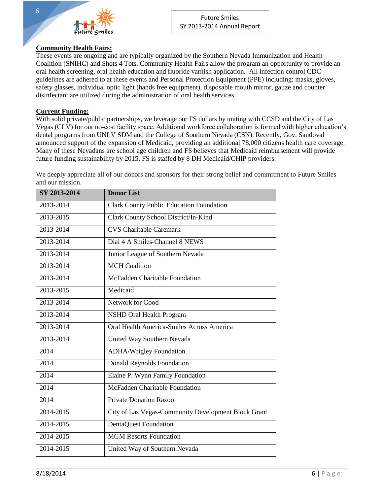

## **Community Health Fairs:**

These events are ongoing and are typically organized by the Southern Nevada Immunization and Health Coalition (SNIHC) and Shots 4 Tots. Community Health Fairs allow the program an opportunity to provide an oral health screening, oral health education and fluoride varnish application. All infection control CDC guidelines are adhered to at these events and Personal Protection Equipment (PPE) including: masks, gloves, safety glasses, individual optic light (hands free equipment), disposable mouth mirror, gauze and counter disinfectant are utilized during the administration of oral health services.

#### **Current Funding:**

With solid private/public partnerships, we leverage our FS dollars by uniting with CCSD and the City of Las Vegas (CLV) for our no-cost facility space. Additional workforce collaboration is formed with higher education's dental programs from UNLV SDM and the College of Southern Nevada (CSN). Recently, Gov. Sandoval announced support of the expansion of Medicaid, providing an additional 78,000 citizens health care coverage. Many of these Nevadans are school age children and FS believes that Medicaid reimbursement will provide future funding sustainability by 2015. FS is staffed by 8 DH Medicaid/CHIP providers.

We deeply appreciate all of our donors and sponsors for their strong belief and commitment to Future Smiles and our mission.

| SY 2013-2014  | <b>Donor List</b>                                   |
|---------------|-----------------------------------------------------|
| 2013-2014     | <b>Clark County Public Education Foundation</b>     |
| 2013-2015     | Clark County School District/In-Kind                |
| 2013-2014     | <b>CVS</b> Charitable Caremark                      |
| 2013-2014     | Dial 4 A Smiles-Channel 8 NEWS                      |
| 2013-2014     | Junior League of Southern Nevada                    |
| 2013-2014     | <b>MCH</b> Coalition                                |
| 2013-2014     | McFadden Charitable Foundation                      |
| 2013-2015     | Medicaid                                            |
| 2013-2014     | Network for Good                                    |
| 2013-2014     | <b>NSHD Oral Health Program</b>                     |
| 2013-2014     | Oral Health America-Smiles Across America           |
| 2013-2014     | United Way Southern Nevada                          |
| 2014          | <b>ADHA/Wrigley Foundation</b>                      |
| 2014          | <b>Donald Reynolds Foundation</b>                   |
| 2014          | Elaine P. Wynn Family Foundation                    |
| 2014          | McFadden Charitable Foundation                      |
| 2014          | <b>Private Donation Razoo</b>                       |
| 2014-2015     | City of Las Vegas-Community Development Block Grant |
| $2014 - 2015$ | <b>DentaQuest Foundation</b>                        |
| 2014-2015     | <b>MGM Resorts Foundation</b>                       |
| 2014-2015     | United Way of Southern Nevada                       |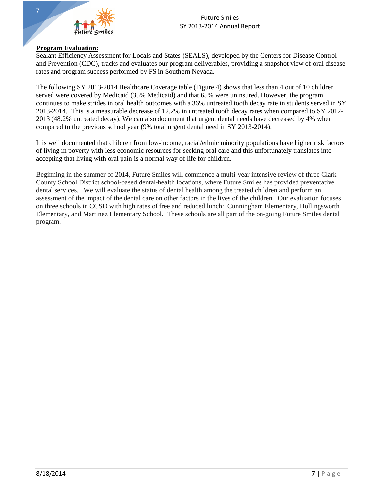

#### **Program Evaluation:**

7

Sealant Efficiency Assessment for Locals and States (SEALS), developed by the Centers for Disease Control and Prevention (CDC), tracks and evaluates our program deliverables, providing a snapshot view of oral disease rates and program success performed by FS in Southern Nevada.

The following SY 2013-2014 Healthcare Coverage table (Figure 4) shows that less than 4 out of 10 children served were covered by Medicaid (35% Medicaid) and that 65% were uninsured. However, the program continues to make strides in oral health outcomes with a 36% untreated tooth decay rate in students served in SY 2013-2014. This is a measurable decrease of 12.2% in untreated tooth decay rates when compared to SY 2012- 2013 (48.2% untreated decay). We can also document that urgent dental needs have decreased by 4% when compared to the previous school year (9% total urgent dental need in SY 2013-2014).

It is well documented that children from low-income, racial/ethnic minority populations have higher risk factors of living in poverty with less economic resources for seeking oral care and this unfortunately translates into accepting that living with oral pain is a normal way of life for children.

Beginning in the summer of 2014, Future Smiles will commence a multi-year intensive review of three Clark County School District school-based dental-health locations, where Future Smiles has provided preventative dental services. We will evaluate the status of dental health among the treated children and perform an assessment of the impact of the dental care on other factors in the lives of the children. Our evaluation focuses on three schools in CCSD with high rates of free and reduced lunch: Cunningham Elementary, Hollingsworth Elementary, and Martinez Elementary School. These schools are all part of the on-going Future Smiles dental program.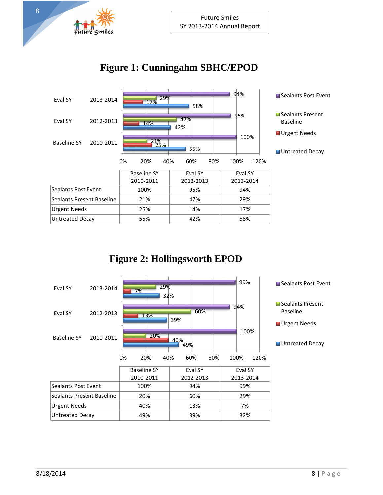

8

# **Figure 1: Cunningahm SBHC/EPOD**



## **Figure 2: Hollingsworth EPOD**

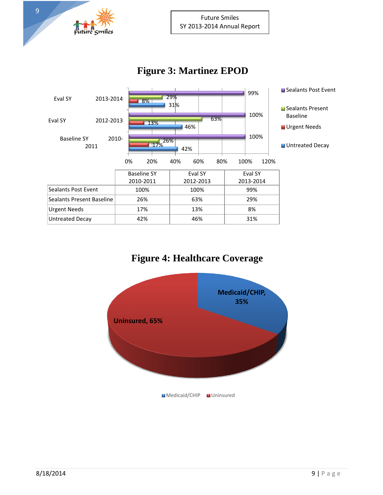

## **Figure 3: Martinez EPOD**



## **Figure 4: Healthcare Coverage**

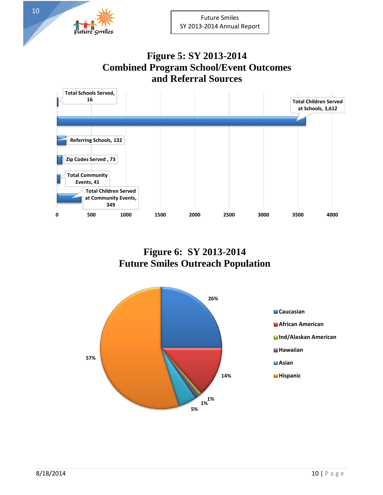## **Figure 5: SY 2013-2014 Combined Program School/Event Outcomes and Referral Sources**



**Figure 6: SY 2013-2014 Future Smiles Outreach Population**



Future Smiles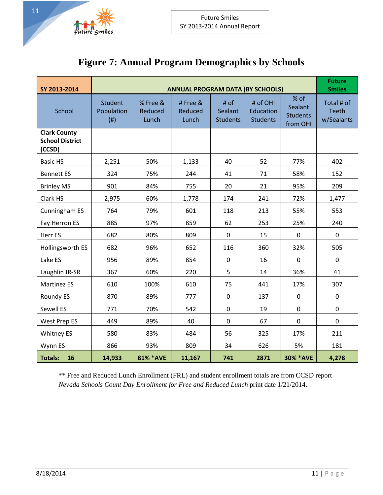

# **Figure 7: Annual Program Demographics by Schools**

| SY 2013-2014                                            | <b>ANNUAL PROGRAM DATA (BY SCHOOLS)</b>   |                                     |                              |                                    |                                          |                                                |                                   |  |
|---------------------------------------------------------|-------------------------------------------|-------------------------------------|------------------------------|------------------------------------|------------------------------------------|------------------------------------------------|-----------------------------------|--|
| School                                                  | <b>Student</b><br>Population<br>$($ # $)$ | % Free &<br><b>Reduced</b><br>Lunch | # Free &<br>Reduced<br>Lunch | # of<br>Sealant<br><b>Students</b> | # of OHI<br>Education<br><b>Students</b> | % of<br>Sealant<br><b>Students</b><br>from OHI | Total # of<br>Teeth<br>w/Sealants |  |
| <b>Clark County</b><br><b>School District</b><br>(CCSD) |                                           |                                     |                              |                                    |                                          |                                                |                                   |  |
| <b>Basic HS</b>                                         | 2,251                                     | 50%                                 | 1,133                        | 40                                 | 52                                       | 77%                                            | 402                               |  |
| <b>Bennett ES</b>                                       | 324                                       | 75%                                 | 244                          | 41                                 | 71                                       | 58%                                            | 152                               |  |
| <b>Brinley MS</b>                                       | 901                                       | 84%                                 | 755                          | 20                                 | 21                                       | 95%                                            | 209                               |  |
| Clark HS                                                | 2,975                                     | 60%                                 | 1,778                        | 174                                | 241                                      | 72%                                            | 1,477                             |  |
| Cunningham ES                                           | 764                                       | 79%                                 | 601                          | 118                                | 213                                      | 55%                                            | 553                               |  |
| Fay Herron ES                                           | 885                                       | 97%                                 | 859                          | 62                                 | 253                                      | 25%                                            | 240                               |  |
| Herr ES                                                 | 682                                       | 80%                                 | 809                          | $\mathbf 0$                        | 15                                       | $\mathbf 0$                                    | $\mathbf 0$                       |  |
| Hollingsworth ES                                        | 682                                       | 96%                                 | 652                          | 116                                | 360                                      | 32%                                            | 505                               |  |
| Lake ES                                                 | 956                                       | 89%                                 | 854                          | $\mathbf 0$                        | 16                                       | $\mathbf 0$                                    | $\mathbf 0$                       |  |
| Laughlin JR-SR                                          | 367                                       | 60%                                 | 220                          | 5                                  | 14                                       | 36%                                            | 41                                |  |
| <b>Martinez ES</b>                                      | 610                                       | 100%                                | 610                          | 75                                 | 441                                      | 17%                                            | 307                               |  |
| Roundy ES                                               | 870                                       | 89%                                 | 777                          | $\mathbf 0$                        | 137                                      | $\mathbf 0$                                    | $\mathbf 0$                       |  |
| Sewell ES                                               | 771                                       | 70%                                 | 542                          | $\mathbf 0$                        | 19                                       | $\mathbf 0$                                    | $\mathbf 0$                       |  |
| West Prep ES                                            | 449                                       | 89%                                 | 40                           | $\mathbf 0$                        | 67                                       | $\mathbf 0$                                    | $\mathbf 0$                       |  |
| <b>Whitney ES</b>                                       | 580                                       | 83%                                 | 484                          | 56                                 | 325                                      | 17%                                            | 211                               |  |
| Wynn ES                                                 | 866                                       | 93%                                 | 809                          | 34                                 | 626                                      | 5%                                             | 181                               |  |
| <b>Totals:</b><br>16                                    | 14,933                                    | 81% * AVE                           | 11,167                       | 741                                | 2871                                     | <b>30% *AVE</b>                                | 4,278                             |  |

\*\* Free and Reduced Lunch Enrollment (FRL) and student enrollment totals are from CCSD report *Nevada Schools Count Day Enrollment for Free and Reduced Lunch* print date 1/21/2014.